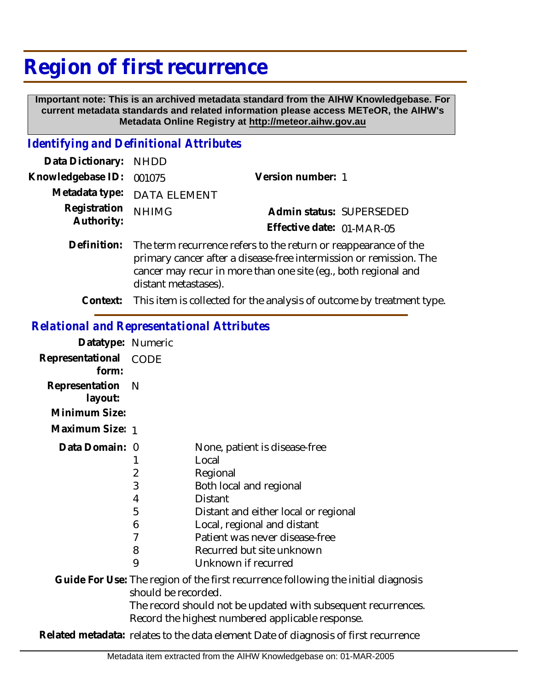## **Region of first recurrence**

 **Important note: This is an archived metadata standard from the AIHW Knowledgebase. For current metadata standards and related information please access METeOR, the AIHW's Metadata Online Registry at http://meteor.aihw.gov.au**

## *Identifying and Definitional Attributes*

| Data Dictionary: NHDD            |                                                                                                                                                |                           |                          |
|----------------------------------|------------------------------------------------------------------------------------------------------------------------------------------------|---------------------------|--------------------------|
| Knowledgebase ID: 001075         |                                                                                                                                                | Version number: 1         |                          |
|                                  | Metadata type: DATA ELEMENT                                                                                                                    |                           |                          |
| Registration NHIMG<br>Authority: |                                                                                                                                                |                           | Admin status: SUPERSEDED |
|                                  |                                                                                                                                                | Effective date: 01-MAR-05 |                          |
|                                  | Definition: The term recurrence refers to the return or reappearance of the<br>primary cancer after a disease free intermission or remission T |                           |                          |

primary cancer after a disease-free intermission or remission. The cancer may recur in more than one site (eg., both regional and distant metastases).

**Context:** This item is collected for the analysis of outcome by treatment type.

## *Relational and Representational Attributes*

| Datatype: Numeric              |                                           |                                                                                                                                                                                                                                                                                            |
|--------------------------------|-------------------------------------------|--------------------------------------------------------------------------------------------------------------------------------------------------------------------------------------------------------------------------------------------------------------------------------------------|
| Representational CODE<br>form: |                                           |                                                                                                                                                                                                                                                                                            |
| Representation<br>layout:      | - N                                       |                                                                                                                                                                                                                                                                                            |
| Minimum Size:                  |                                           |                                                                                                                                                                                                                                                                                            |
| Maximum Size: 1                |                                           |                                                                                                                                                                                                                                                                                            |
| Data Domain: 0                 | 1<br>2<br>3<br>4<br>5<br>6<br>7<br>8<br>9 | None, patient is disease-free<br>Local<br>Regional<br>Both local and regional<br><b>Distant</b><br>Distant and either local or regional<br>Local, regional and distant<br>Patient was never disease-free<br>Recurred but site unknown<br>Unknown if recurred                               |
|                                | should be recorded.                       | Guide For Use: The region of the first recurrence following the initial diagnosis<br>The record should not be updated with subsequent recurrences.<br>Record the highest numbered applicable response.<br>Deleted metadata, salatas ta tha shika alamanit Data af diamagaig af finst saarr |

**Related metadata:** relates to the data element Date of diagnosis of first recurrence